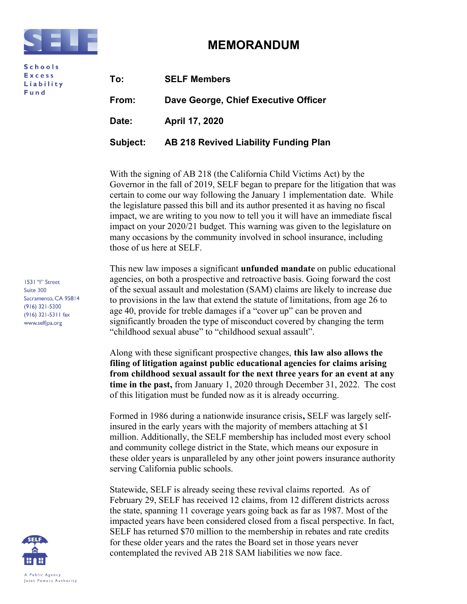

**Schools Excess** Liability Fund

## MEMORANDUM

| To:             | <b>SELF Members</b>                          |
|-----------------|----------------------------------------------|
| From:           | Dave George, Chief Executive Officer         |
| Date:           | April 17, 2020                               |
| <b>Subject:</b> | <b>AB 218 Revived Liability Funding Plan</b> |

With the signing of AB 218 (the California Child Victims Act) by the Governor in the fall of 2019, SELF began to prepare for the litigation that was certain to come our way following the January 1 implementation date. While the legislature passed this bill and its author presented it as having no fiscal impact, we are writing to you now to tell you it will have an immediate fiscal impact on your 2020/21 budget. This warning was given to the legislature on many occasions by the community involved in school insurance, including those of us here at SELF.

This new law imposes a significant **unfunded mandate** on public educational agencies, on both a prospective and retroactive basis. Going forward the cost of the sexual assault and molestation (SAM) claims are likely to increase due to provisions in the law that extend the statute of limitations, from age 26 to age 40, provide for treble damages if a "cover up" can be proven and significantly broaden the type of misconduct covered by changing the term "childhood sexual abuse" to "childhood sexual assault".

Along with these significant prospective changes, this law also allows the filing of litigation against public educational agencies for claims arising from childhood sexual assault for the next three years for an event at any time in the past, from January 1, 2020 through December 31, 2022. The cost of this litigation must be funded now as it is already occurring.

Formed in 1986 during a nationwide insurance crisis, SELF was largely selfinsured in the early years with the majority of members attaching at \$1 million. Additionally, the SELF membership has included most every school and community college district in the State, which means our exposure in these older years is unparalleled by any other joint powers insurance authority serving California public schools.

Statewide, SELF is already seeing these revival claims reported. As of February 29, SELF has received 12 claims, from 12 different districts across the state, spanning 11 coverage years going back as far as 1987. Most of the impacted years have been considered closed from a fiscal perspective. In fact, SELF has returned \$70 million to the membership in rebates and rate credits for these older years and the rates the Board set in those years never contemplated the revived AB 218 SAM liabilities we now face.

1531 "I" Street Suite 300 Sacramento, CA 95814  $(916)$  321-5300  $(916)$  321-5311 fax www.selfjpa.org